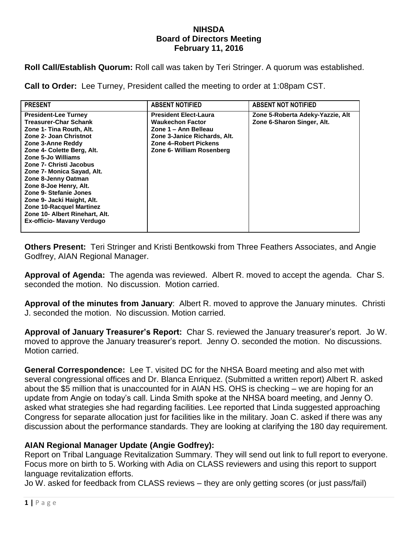## **NIHSDA Board of Directors Meeting February 11, 2016**

**Roll Call/Establish Quorum:** Roll call was taken by Teri Stringer. A quorum was established.

**Call to Order:** Lee Turney, President called the meeting to order at 1:08pam CST.

| <b>PRESENT</b>                                                                                                                                                                                                                                                                                                                                                                                                                                           | <b>ABSENT NOTIFIED</b>                                                                                                                                                | <b>ABSENT NOT NOTIFIED</b>                                     |
|----------------------------------------------------------------------------------------------------------------------------------------------------------------------------------------------------------------------------------------------------------------------------------------------------------------------------------------------------------------------------------------------------------------------------------------------------------|-----------------------------------------------------------------------------------------------------------------------------------------------------------------------|----------------------------------------------------------------|
| <b>President-Lee Turney</b><br><b>Treasurer-Char Schank</b><br>Zone 1- Tina Routh, Alt.<br>Zone 2- Joan Christnot<br>Zone 3-Anne Reddy<br>Zone 4- Colette Berg, Alt.<br>Zone 5-Jo Williams<br>Zone 7- Christi Jacobus<br>Zone 7- Monica Sayad, Alt.<br>Zone 8-Jenny Oatman<br>Zone 8-Joe Henry, Alt.<br>Zone 9- Stefanie Jones<br>Zone 9- Jacki Haight, Alt.<br>Zone 10-Racquel Martinez<br>Zone 10- Albert Rinehart, Alt.<br>Ex-officio- Mavany Verdugo | <b>President Elect-Laura</b><br><b>Waukechon Factor</b><br>Zone 1 – Ann Belleau<br>Zone 3-Janice Richards, Alt.<br>Zone 4-Robert Pickens<br>Zone 6- William Rosenberg | Zone 5-Roberta Adeky-Yazzie, Alt<br>Zone 6-Sharon Singer, Alt. |

**Others Present:** Teri Stringer and Kristi Bentkowski from Three Feathers Associates, and Angie Godfrey, AIAN Regional Manager.

**Approval of Agenda:** The agenda was reviewed. Albert R. moved to accept the agenda. Char S. seconded the motion. No discussion. Motion carried.

**Approval of the minutes from January**: Albert R. moved to approve the January minutes. Christi J. seconded the motion. No discussion. Motion carried.

**Approval of January Treasurer's Report:** Char S. reviewed the January treasurer's report. Jo W. moved to approve the January treasurer's report. Jenny O. seconded the motion. No discussions. Motion carried.

**General Correspondence:** Lee T. visited DC for the NHSA Board meeting and also met with several congressional offices and Dr. Blanca Enriquez. (Submitted a written report) Albert R. asked about the \$5 million that is unaccounted for in AIAN HS. OHS is checking – we are hoping for an update from Angie on today's call. Linda Smith spoke at the NHSA board meeting, and Jenny O. asked what strategies she had regarding facilities. Lee reported that Linda suggested approaching Congress for separate allocation just for facilities like in the military. Joan C. asked if there was any discussion about the performance standards. They are looking at clarifying the 180 day requirement.

## **AIAN Regional Manager Update (Angie Godfrey):**

Report on Tribal Language Revitalization Summary. They will send out link to full report to everyone. Focus more on birth to 5. Working with Adia on CLASS reviewers and using this report to support language revitalization efforts.

Jo W. asked for feedback from CLASS reviews – they are only getting scores (or just pass/fail)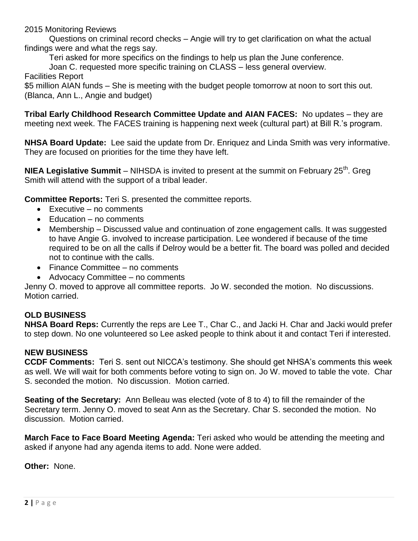2015 Monitoring Reviews

Questions on criminal record checks – Angie will try to get clarification on what the actual findings were and what the regs say.

Teri asked for more specifics on the findings to help us plan the June conference.

Joan C. requested more specific training on CLASS – less general overview.

Facilities Report

\$5 million AIAN funds – She is meeting with the budget people tomorrow at noon to sort this out. (Blanca, Ann L., Angie and budget)

**Tribal Early Childhood Research Committee Update and AIAN FACES:** No updates – they are meeting next week. The FACES training is happening next week (cultural part) at Bill R.'s program.

**NHSA Board Update:** Lee said the update from Dr. Enriquez and Linda Smith was very informative. They are focused on priorities for the time they have left.

**NIEA Legislative Summit** – NIHSDA is invited to present at the summit on February 25<sup>th</sup>. Greg Smith will attend with the support of a tribal leader.

**Committee Reports:** Teri S. presented the committee reports.

- $\bullet$  Executive no comments
- Education no comments
- Membership Discussed value and continuation of zone engagement calls. It was suggested to have Angie G. involved to increase participation. Lee wondered if because of the time required to be on all the calls if Delroy would be a better fit. The board was polled and decided not to continue with the calls.
- Finance Committee no comments
- Advocacy Committee no comments

Jenny O. moved to approve all committee reports. Jo W. seconded the motion. No discussions. Motion carried.

## **OLD BUSINESS**

**NHSA Board Reps:** Currently the reps are Lee T., Char C., and Jacki H. Char and Jacki would prefer to step down. No one volunteered so Lee asked people to think about it and contact Teri if interested.

## **NEW BUSINESS**

**CCDF Comments:** Teri S. sent out NICCA's testimony. She should get NHSA's comments this week as well. We will wait for both comments before voting to sign on. Jo W. moved to table the vote. Char S. seconded the motion. No discussion. Motion carried.

**Seating of the Secretary:** Ann Belleau was elected (vote of 8 to 4) to fill the remainder of the Secretary term. Jenny O. moved to seat Ann as the Secretary. Char S. seconded the motion. No discussion. Motion carried.

**March Face to Face Board Meeting Agenda:** Teri asked who would be attending the meeting and asked if anyone had any agenda items to add. None were added.

**Other:** None.